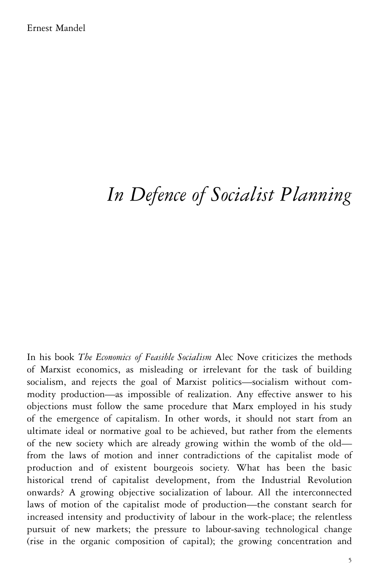# *In Defence of Socialist Planning*

In his book *The Economics of Feasible Socialism* Alec Nove criticizes the methods of Marxist economics, as misleading or irrelevant for the task of building socialism, and rejects the goal of Marxist politics—socialism without commodity production—as impossible of realization. Any effective answer to his objections must follow the same procedure that Marx employed in his study of the emergence of capitalism. In other words, it should not start from an ultimate ideal or normative goal to be achieved, but rather from the elements of the new society which are already growing within the womb of the old from the laws of motion and inner contradictions of the capitalist mode of production and of existent bourgeois society. What has been the basic historical trend of capitalist development, from the Industrial Revolution onwards? A growing objective socialization of labour. All the interconnected laws of motion of the capitalist mode of production—the constant search for increased intensity and productivity of labour in the work-place; the relentless pursuit of new markets; the pressure to labour-saving technological change (rise in the organic composition of capital); the growing concentration and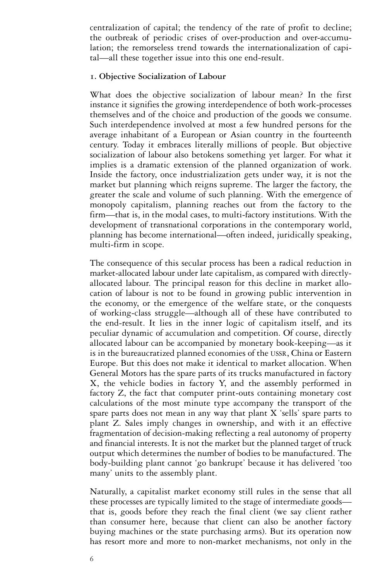centralization of capital; the tendency of the rate of profit to decline; the outbreak of periodic crises of over-production and over-accumulation; the remorseless trend towards the internationalization of capital—all these together issue into this one end-result.

#### **1. Objective Socialization of Labour**

What does the objective socialization of labour mean? In the first instance it signifies the growing interdependence of both work-processes themselves and of the choice and production of the goods we consume. Such interdependence involved at most a few hundred persons for the average inhabitant of a European or Asian country in the fourteenth century. Today it embraces literally millions of people. But objective socialization of labour also betokens something yet larger. For what it implies is a dramatic extension of the planned organization of work. Inside the factory, once industrialization gets under way, it is not the market but planning which reigns supreme. The larger the factory, the greater the scale and volume of such planning. With the emergence of monopoly capitalism, planning reaches out from the factory to the firm—that is, in the modal cases, to multi-factory institutions. With the development of transnational corporations in the contemporary world, planning has become international—often indeed, juridically speaking, multi-firm in scope.

The consequence of this secular process has been a radical reduction in market-allocated labour under late capitalism, as compared with directlyallocated labour. The principal reason for this decline in market allocation of labour is not to be found in growing public intervention in the economy, or the emergence of the welfare state, or the conquests of working-class struggle—although all of these have contributed to the end-result. It lies in the inner logic of capitalism itself, and its peculiar dynamic of accumulation and competition. Of course, directly allocated labour can be accompanied by monetary book-keeping—as it is in the bureaucratized planned economies of the USSR, China or Eastern Europe. But this does not make it identical to market allocation. When General Motors has the spare parts of its trucks manufactured in factory X, the vehicle bodies in factory Y, and the assembly performed in factory Z, the fact that computer print-outs containing monetary cost calculations of the most minute type accompany the transport of the spare parts does not mean in any way that plant X 'sells' spare parts to plant Z. Sales imply changes in ownership, and with it an effective fragmentation of decision-making reflecting a real autonomy of property and financial interests. It is not the market but the planned target of truck output which determines the number of bodies to be manufactured. The body-building plant cannot 'go bankrupt' because it has delivered 'too many' units to the assembly plant.

Naturally, a capitalist market economy still rules in the sense that all these processes are typically limited to the stage of intermediate goods that is, goods before they reach the final client (we say client rather than consumer here, because that client can also be another factory buying machines or the state purchasing arms). But its operation now has resort more and more to non-market mechanisms, not only in the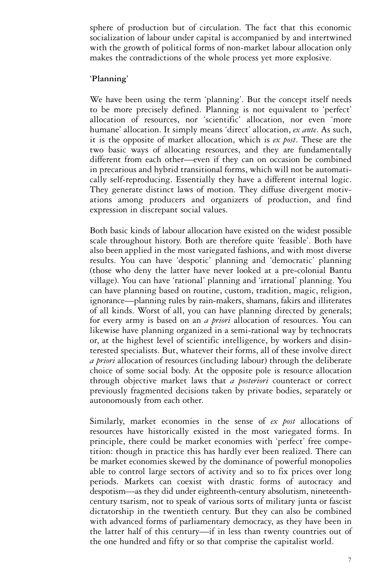sphere of production but of circulation. The fact that this economic socialization of labour under capital is accompanied by and intertwined with the growth of political forms of non-market labour allocation only makes the contradictions of the whole process yet more explosive.

#### **'Planning'**

We have been using the term 'planning'. But the concept itself needs to be more precisely defined. Planning is not equivalent to 'perfect' allocation of resources, nor 'scientific' allocation, nor even 'more humane' allocation. It simply means 'direct' allocation, *ex ante*. As such, it is the opposite of market allocation, which is *ex post*. These are the two basic ways of allocating resources, and they are fundamentally different from each other—even if they can on occasion be combined in precarious and hybrid transitional forms, which will not be automatically self-reproducing. Essentially they have a different internal logic. They generate distinct laws of motion. They diffuse divergent motivations among producers and organizers of production, and find expression in discrepant social values.

Both basic kinds of labour allocation have existed on the widest possible scale throughout history. Both are therefore quite 'feasible'. Both have also been applied in the most variegated fashions, and with most diverse results. You can have 'despotic' planning and 'democratic' planning (those who deny the latter have never looked at a pre-colonial Bantu village). You can have 'rational' planning and 'irrational' planning. You can have planning based on routine, custom, tradition, magic, religion, ignorance—planning rules by rain-makers, shamans, fakirs and illiterates of all kinds. Worst of all, you can have planning directed by generals; for every army is based on an *a priori* allocation of resources. You can likewise have planning organized in a semi-rational way by technocrats or, at the highest level of scientific intelligence, by workers and disinterested specialists. But, whatever their forms, all of these involve direct *a priori* allocation of resources (including labour) through the deliberate choice of some social body. At the opposite pole is resource allocation through objective market laws that *a posteriori* counteract or correct previously fragmented decisions taken by private bodies, separately or autonomously from each other.

Similarly, market economies in the sense of *ex post* allocations of resources have historically existed in the most variegated forms. In principle, there could be market economies with 'perfect' free competition: though in practice this has hardly ever been realized. There can be market economies skewed by the dominance of powerful monopolies able to control large sectors of activity and so to fix prices over long periods. Markets can coexist with drastic forms of autocracy and despotism—as they did under eighteenth-century absolutism, nineteenthcentury tsarism, not to speak of various sorts of military junta or fascist dictatorship in the twentieth century. But they can also be combined with advanced forms of parliamentary democracy, as they have been in the latter half of this century—if in less than twenty countries out of the one hundred and fifty or so that comprise the capitalist world.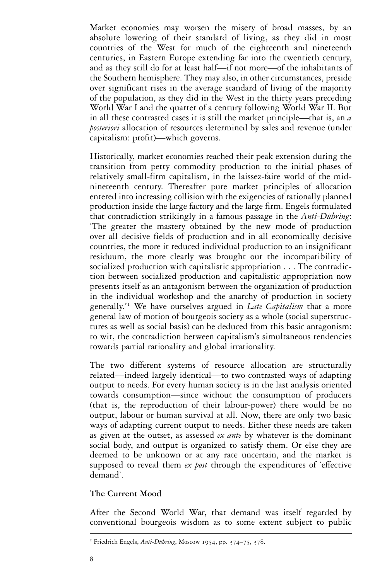Market economies may worsen the misery of broad masses, by an absolute lowering of their standard of living, as they did in most countries of the West for much of the eighteenth and nineteenth centuries, in Eastern Europe extending far into the twentieth century, and as they still do for at least half—if not more—of the inhabitants of the Southern hemisphere. They may also, in other circumstances, preside over significant rises in the average standard of living of the majority of the population, as they did in the West in the thirty years preceding World War I and the quarter of a century following World War II. But in all these contrasted cases it is still the market principle—that is, an *a posteriori* allocation of resources determined by sales and revenue (under capitalism: profit)—which governs.

Historically, market economies reached their peak extension during the transition from petty commodity production to the initial phases of relatively small-firm capitalism, in the laissez-faire world of the midnineteenth century. Thereafter pure market principles of allocation entered into increasing collision with the exigencies of rationally planned production inside the large factory and the large firm. Engels formulated that contradiction strikingly in a famous passage in the *Anti-Dühring*: 'The greater the mastery obtained by the new mode of production over all decisive fields of production and in all economically decisive countries, the more it reduced individual production to an insignificant residuum, the more clearly was brought out the incompatibility of socialized production with capitalistic appropriation... The contradiction between socialized production and capitalistic appropriation now presents itself as an antagonism between the organization of production in the individual workshop and the anarchy of production in society generally.'<sup>1</sup> We have ourselves argued in *Late Capitalism* that a more general law of motion of bourgeois society as a whole (social superstructures as well as social basis) can be deduced from this basic antagonism: to wit, the contradiction between capitalism's simultaneous tendencies towards partial rationality and global irrationality.

The two different systems of resource allocation are structurally related—indeed largely identical—to two contrasted ways of adapting output to needs. For every human society is in the last analysis oriented towards consumption—since without the consumption of producers (that is, the reproduction of their labour-power) there would be no output, labour or human survival at all. Now, there are only two basic ways of adapting current output to needs. Either these needs are taken as given at the outset, as assessed *ex ante* by whatever is the dominant social body, and output is organized to satisfy them. Or else they are deemed to be unknown or at any rate uncertain, and the market is supposed to reveal them *ex post* through the expenditures of 'effective demand'.

#### **The Current Mood**

After the Second World War, that demand was itself regarded by conventional bourgeois wisdom as to some extent subject to public

<sup>&</sup>lt;sup>1</sup> Friedrich Engels, *Anti-Dübring*, Moscow 1954, pp. 374–75, 378.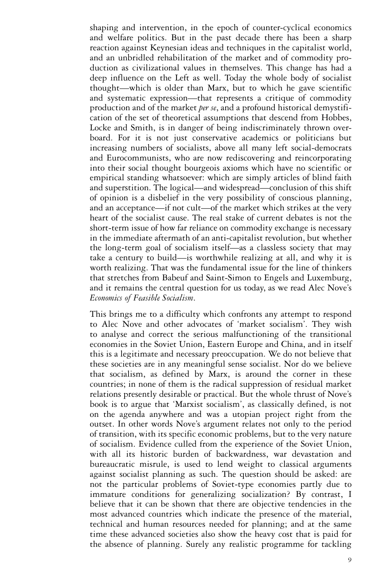shaping and intervention, in the epoch of counter-cyclical economics and welfare politics. But in the past decade there has been a sharp reaction against Keynesian ideas and techniques in the capitalist world, and an unbridled rehabilitation of the market and of commodity production as civilizational values in themselves. This change has had a deep influence on the Left as well. Today the whole body of socialist thought—which is older than Marx, but to which he gave scientific and systematic expression—that represents a critique of commodity production and of the market *per se*, and a profound historical demystification of the set of theoretical assumptions that descend from Hobbes, Locke and Smith, is in danger of being indiscriminately thrown overboard. For it is not just conservative academics or politicians but increasing numbers of socialists, above all many left social-democrats and Eurocommunists, who are now rediscovering and reincorporating into their social thought bourgeois axioms which have no scientific or empirical standing whatsoever: which are simply articles of blind faith and superstition. The logical—and widespread—conclusion of this shift of opinion is a disbelief in the very possibility of conscious planning, and an acceptance—if not cult—of the market which strikes at the very heart of the socialist cause. The real stake of current debates is not the short-term issue of how far reliance on commodity exchange is necessary in the immediate aftermath of an anti-capitalist revolution, but whether the long-term goal of socialism itself—as a classless society that may take a century to build—is worthwhile realizing at all, and why it is worth realizing. That was the fundamental issue for the line of thinkers that stretches from Babeuf and Saint-Simon to Engels and Luxemburg, and it remains the central question for us today, as we read Alec Nove's *Economics of Feasible Socialism*.

This brings me to a difficulty which confronts any attempt to respond to Alec Nove and other advocates of 'market socialism'. They wish to analyse and correct the serious malfunctioning of the transitional economies in the Soviet Union, Eastern Europe and China, and in itself this is a legitimate and necessary preoccupation. We do not believe that these societies are in any meaningful sense socialist. Nor do we believe that socialism, as defined by Marx, is around the corner in these countries; in none of them is the radical suppression of residual market relations presently desirable or practical. But the whole thrust of Nove's book is to argue that 'Marxist socialism', as classically defined, is not on the agenda anywhere and was a utopian project right from the outset. In other words Nove's argument relates not only to the period of transition, with its specific economic problems, but to the very nature of socialism. Evidence culled from the experience of the Soviet Union, with all its historic burden of backwardness, war devastation and bureaucratic misrule, is used to lend weight to classical arguments against socialist planning as such. The question should be asked: are not the particular problems of Soviet-type economies partly due to immature conditions for generalizing socialization? By contrast, I believe that it can be shown that there are objective tendencies in the most advanced countries which indicate the presence of the material, technical and human resources needed for planning; and at the same time these advanced societies also show the heavy cost that is paid for the absence of planning. Surely any realistic programme for tackling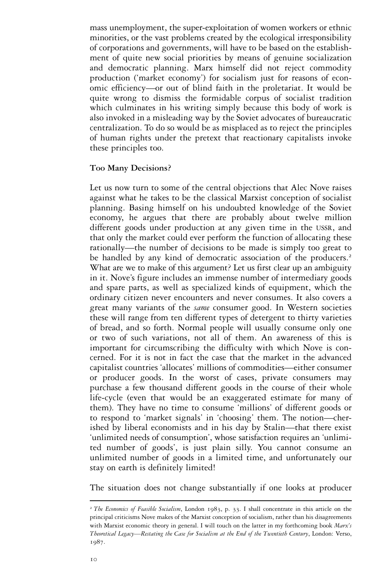mass unemployment, the super-exploitation of women workers or ethnic minorities, or the vast problems created by the ecological irresponsibility of corporations and governments, will have to be based on the establishment of quite new social priorities by means of genuine socialization and democratic planning. Marx himself did not reject commodity production ('market economy') for socialism just for reasons of economic efficiency—or out of blind faith in the proletariat. It would be quite wrong to dismiss the formidable corpus of socialist tradition which culminates in his writing simply because this body of work is also invoked in a misleading way by the Soviet advocates of bureaucratic centralization. To do so would be as misplaced as to reject the principles of human rights under the pretext that reactionary capitalists invoke these principles too.

#### **Too Many Decisions?**

Let us now turn to some of the central objections that Alec Nove raises against what he takes to be the classical Marxist conception of socialist planning. Basing himself on his undoubted knowledge of the Soviet economy, he argues that there are probably about twelve million different goods under production at any given time in the USSR, and that only the market could ever perform the function of allocating these rationally—the number of decisions to be made is simply too great to be handled by any kind of democratic association of the producers.<sup>2</sup> What are we to make of this argument? Let us first clear up an ambiguity in it. Nove's figure includes an immense number of intermediary goods and spare parts, as well as specialized kinds of equipment, which the ordinary citizen never encounters and never consumes. It also covers a great many variants of the *same* consumer good. In Western societies these will range from ten different types of detergent to thirty varieties of bread, and so forth. Normal people will usually consume only one or two of such variations, not all of them. An awareness of this is important for circumscribing the difficulty with which Nove is concerned. For it is not in fact the case that the market in the advanced capitalist countries 'allocates' millions of commodities—either consumer or producer goods. In the worst of cases, private consumers may purchase a few thousand different goods in the course of their whole life-cycle (even that would be an exaggerated estimate for many of them). They have no time to consume 'millions' of different goods or to respond to 'market signals' in 'choosing' them. The notion—cherished by liberal economists and in his day by Stalin—that there exist 'unlimited needs of consumption', whose satisfaction requires an 'unlimited number of goods', is just plain silly. You cannot consume an unlimited number of goods in a limited time, and unfortunately our stay on earth is definitely limited!

The situation does not change substantially if one looks at producer

<sup>2</sup> *The Economics of Feasible Socialism*, London 1983, p. 33. I shall concentrate in this article on the principal criticisms Nove makes of the Marxist conception of socialism, rather than his disagreements with Marxist economic theory in general. I will touch on the latter in my forthcoming book *Marx's Theoretical Legacy—Restating the Case for Socialism at the End of the Twentieth Century*, London: Verso, 1987.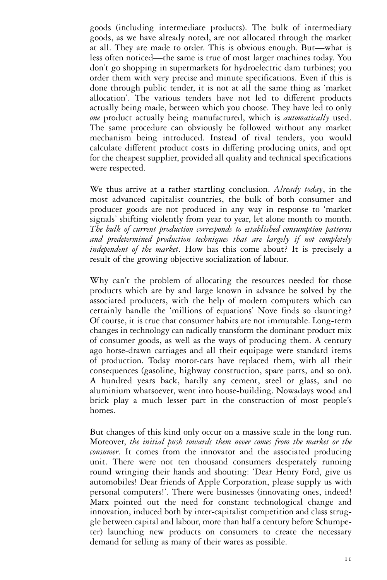goods (including intermediate products). The bulk of intermediary goods, as we have already noted, are not allocated through the market at all. They are made to order. This is obvious enough. But—what is less often noticed—the same is true of most larger machines today. You don't go shopping in supermarkets for hydroelectric dam turbines; you order them with very precise and minute specifications. Even if this is done through public tender, it is not at all the same thing as 'market allocation'. The various tenders have not led to different products actually being made, between which you choose. They have led to only *one* product actually being manufactured, which is *automatically* used. The same procedure can obviously be followed without any market mechanism being introduced. Instead of rival tenders, you would calculate different product costs in differing producing units, and opt for the cheapest supplier, provided all quality and technical specifications were respected.

We thus arrive at a rather startling conclusion. *Already today*, in the most advanced capitalist countries, the bulk of both consumer and producer goods are not produced in any way in response to 'market signals' shifting violently from year to year, let alone month to month. *The bulk of current production corresponds to established consumption patterns and predetermined production techniques that are largely if not completely independent of the market*. How has this come about? It is precisely a result of the growing objective socialization of labour.

Why can't the problem of allocating the resources needed for those products which are by and large known in advance be solved by the associated producers, with the help of modern computers which can certainly handle the 'millions of equations' Nove finds so daunting? Of course, it is true that consumer habits are not immutable. Long-term changes in technology can radically transform the dominant product mix of consumer goods, as well as the ways of producing them. A century ago horse-drawn carriages and all their equipage were standard items of production. Today motor-cars have replaced them, with all their consequences (gasoline, highway construction, spare parts, and so on). A hundred years back, hardly any cement, steel or glass, and no aluminium whatsoever, went into house-building. Nowadays wood and brick play a much lesser part in the construction of most people's homes.

But changes of this kind only occur on a massive scale in the long run. Moreover, *the initial push towards them never comes from the market or the consumer*. It comes from the innovator and the associated producing unit. There were not ten thousand consumers desperately running round wringing their hands and shouting: 'Dear Henry Ford, give us automobiles! Dear friends of Apple Corporation, please supply us with personal computers!'. There were businesses (innovating ones, indeed! Marx pointed out the need for constant technological change and innovation, induced both by inter-capitalist competition and class struggle between capital and labour, more than half a century before Schumpeter) launching new products on consumers to create the necessary demand for selling as many of their wares as possible.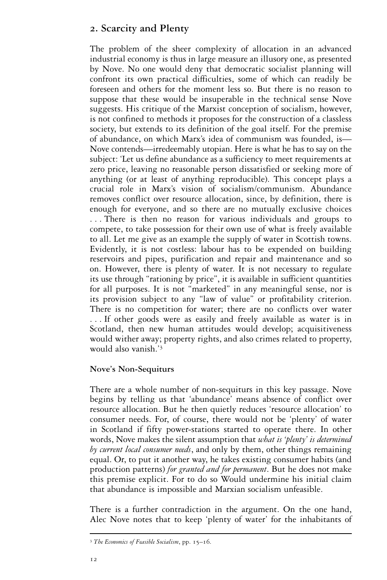# **2. Scarcity and Plenty**

The problem of the sheer complexity of allocation in an advanced industrial economy is thus in large measure an illusory one, as presented by Nove. No one would deny that democratic socialist planning will confront its own practical difficulties, some of which can readily be foreseen and others for the moment less so. But there is no reason to suppose that these would be insuperable in the technical sense Nove suggests. His critique of the Marxist conception of socialism, however, is not confined to methods it proposes for the construction of a classless society, but extends to its definition of the goal itself. For the premise of abundance, on which Marx's idea of communism was founded, is— Nove contends—irredeemably utopian. Here is what he has to say on the subject: 'Let us define abundance as a sufficiency to meet requirements at zero price, leaving no reasonable person dissatisfied or seeking more of anything (or at least of anything reproducible). This concept plays a crucial role in Marx's vision of socialism/communism. Abundance removes conflict over resource allocation, since, by definition, there is enough for everyone, and so there are no mutually exclusive choices . . . There is then no reason for various individuals and groups to compete, to take possession for their own use of what is freely available to all. Let me give as an example the supply of water in Scottish towns. Evidently, it is not costless: labour has to be expended on building reservoirs and pipes, purification and repair and maintenance and so on. However, there is plenty of water. It is not necessary to regulate its use through "rationing by price", it is available in sufficient quantities for all purposes. It is not "marketed" in any meaningful sense, nor is its provision subject to any "law of value" or profitability criterion. There is no competition for water; there are no conflicts over water . . . If other goods were as easily and freely available as water is in Scotland, then new human attitudes would develop; acquisitiveness would wither away; property rights, and also crimes related to property, would also vanish.'<sup>3</sup>

# **Nove's Non-Sequiturs**

There are a whole number of non-sequiturs in this key passage. Nove begins by telling us that 'abundance' means absence of conflict over resource allocation. But he then quietly reduces 'resource allocation' to consumer needs. For, of course, there would not be 'plenty' of water in Scotland if fifty power-stations started to operate there. In other words, Nove makes the silent assumption that *what is 'plenty' is determined by current local consumer needs*, and only by them, other things remaining equal. Or, to put it another way, he takes existing consumer habits (and production patterns) *for granted and for permanent*. But he does not make this premise explicit. For to do so Would undermine his initial claim that abundance is impossible and Marxian socialism unfeasible.

There is a further contradiction in the argument. On the one hand, Alec Nove notes that to keep 'plenty of water' for the inhabitants of

<sup>3</sup> *The Economics of Feasible Socialism*, pp. 15–16.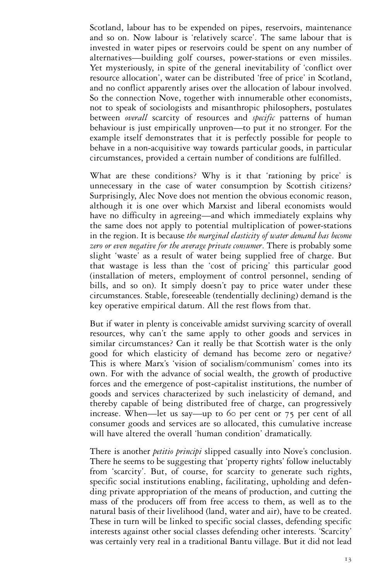Scotland, labour has to be expended on pipes, reservoirs, maintenance and so on. Now labour is 'relatively scarce'. The same labour that is invested in water pipes or reservoirs could be spent on any number of alternatives—building golf courses, power-stations or even missiles. Yet mysteriously, in spite of the general inevitability of 'conflict over resource allocation', water can be distributed 'free of price' in Scotland, and no conflict apparently arises over the allocation of labour involved. So the connection Nove, together with innumerable other economists, not to speak of sociologists and misanthropic philosophers, postulates between *overall* scarcity of resources and *specific* patterns of human behaviour is just empirically unproven—to put it no stronger. For the example itself demonstrates that it is perfectly possible for people to behave in a non-acquisitive way towards particular goods, in particular circumstances, provided a certain number of conditions are fulfilled.

What are these conditions? Why is it that 'rationing by price' is unnecessary in the case of water consumption by Scottish citizens? Surprisingly, Alec Nove does not mention the obvious economic reason, although it is one over which Marxist and liberal economists would have no difficulty in agreeing—and which immediately explains why the same does not apply to potential multiplication of power-stations in the region. It is because *the marginal elasticity of water demand has become zero or even negative for the average private consumer*. There is probably some slight 'waste' as a result of water being supplied free of charge. But that wastage is less than the 'cost of pricing' this particular good (installation of meters, employment of control personnel, sending of bills, and so on). It simply doesn't pay to price water under these circumstances. Stable, foreseeable (tendentially declining) demand is the key operative empirical datum. All the rest flows from that.

But if water in plenty is conceivable amidst surviving scarcity of overall resources, why can't the same apply to other goods and services in similar circumstances? Can it really be that Scottish water is the only good for which elasticity of demand has become zero or negative? This is where Marx's 'vision of socialism/communism' comes into its own. For with the advance of social wealth, the growth of productive forces and the emergence of post-capitalist institutions, the number of goods and services characterized by such inelasticity of demand, and thereby capable of being distributed free of charge, can progressively increase. When—let us say—up to 60 per cent or 75 per cent of all consumer goods and services are so allocated, this cumulative increase will have altered the overall 'human condition' dramatically.

There is another *petitio principi* slipped casually into Nove's conclusion. There he seems to be suggesting that 'property rights' follow ineluctably from 'scarcity'. But, of course, for scarcity to generate such rights, specific social institutions enabling, facilitating, upholding and defending private appropriation of the means of production, and cutting the mass of the producers off from free access to them, as well as to the natural basis of their livelihood (land, water and air), have to be created. These in turn will be linked to specific social classes, defending specific interests against other social classes defending other interests. 'Scarcity' was certainly very real in a traditional Bantu village. But it did not lead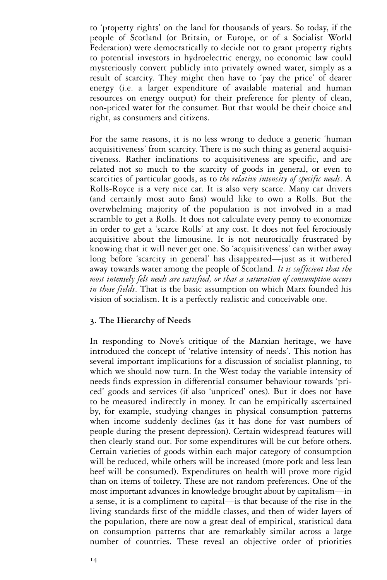to 'property rights' on the land for thousands of years. So today, if the people of Scotland (or Britain, or Europe, or of a Socialist World Federation) were democratically to decide not to grant property rights to potential investors in hydroelectric energy, no economic law could mysteriously convert publicly into privately owned water, simply as a result of scarcity. They might then have to 'pay the price' of dearer energy (i.e. a larger expenditure of available material and human resources on energy output) for their preference for plenty of clean, non-priced water for the consumer. But that would be their choice and right, as consumers and citizens.

For the same reasons, it is no less wrong to deduce a generic 'human acquisitiveness' from scarcity. There is no such thing as general acquisitiveness. Rather inclinations to acquisitiveness are specific, and are related not so much to the scarcity of goods in general, or even to scarcities of particular goods, as to *the relative intensity of specific needs*. A Rolls-Royce is a very nice car. It is also very scarce. Many car drivers (and certainly most auto fans) would like to own a Rolls. But the overwhelming majority of the population is not involved in a mad scramble to get a Rolls. It does not calculate every penny to economize in order to get a 'scarce Rolls' at any cost. It does not feel ferociously acquisitive about the limousine. It is not neurotically frustrated by knowing that it will never get one. So 'acquisitiveness' can wither away long before 'scarcity in general' has disappeared—just as it withered away towards water among the people of Scotland. *It is sufficient that the most intensely felt needs are satisfied, or that a saturation of consumption occurs in these fields*. That is the basic assumption on which Marx founded his vision of socialism. It is a perfectly realistic and conceivable one.

#### **3. The Hierarchy of Needs**

In responding to Nove's critique of the Marxian heritage, we have introduced the concept of 'relative intensity of needs'. This notion has several important implications for a discussion of socialist planning, to which we should now turn. In the West today the variable intensity of needs finds expression in differential consumer behaviour towards 'priced' goods and services (if also 'unpriced' ones). But it does not have to be measured indirectly in money. It can be empirically ascertained by, for example, studying changes in physical consumption patterns when income suddenly declines (as it has done for vast numbers of people during the present depression). Certain widespread features will then clearly stand out. For some expenditures will be cut before others. Certain varieties of goods within each major category of consumption will be reduced, while others will be increased (more pork and less lean beef will be consumed). Expenditures on health will prove more rigid than on items of toiletry. These are not random preferences. One of the most important advances in knowledge brought about by capitalism—in a sense, it is a compliment to capital—is that because of the rise in the living standards first of the middle classes, and then of wider layers of the population, there are now a great deal of empirical, statistical data on consumption patterns that are remarkably similar across a large number of countries. These reveal an objective order of priorities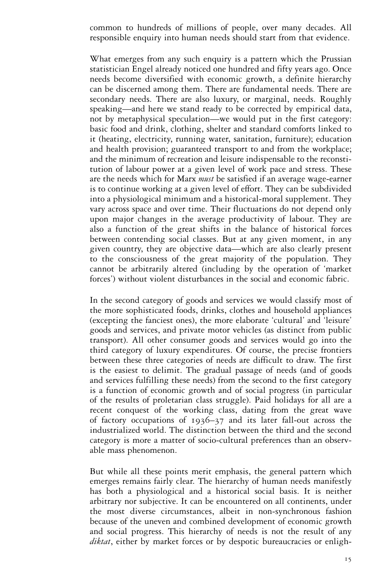common to hundreds of millions of people, over many decades. All responsible enquiry into human needs should start from that evidence.

What emerges from any such enquiry is a pattern which the Prussian statistician Engel already noticed one hundred and fifty years ago. Once needs become diversified with economic growth, a definite hierarchy can be discerned among them. There are fundamental needs. There are secondary needs. There are also luxury, or marginal, needs. Roughly speaking—and here we stand ready to be corrected by empirical data, not by metaphysical speculation—we would put in the first category: basic food and drink, clothing, shelter and standard comforts linked to it (heating, electricity, running water, sanitation, furniture); education and health provision; guaranteed transport to and from the workplace; and the minimum of recreation and leisure indispensable to the reconstitution of labour power at a given level of work pace and stress. These are the needs which for Marx *must* be satisfied if an average wage-earner is to continue working at a given level of effort. They can be subdivided into a physiological minimum and a historical-moral supplement. They vary across space and over time. Their fluctuations do not depend only upon major changes in the average productivity of labour. They are also a function of the great shifts in the balance of historical forces between contending social classes. But at any given moment, in any given country, they are objective data—which are also clearly present to the consciousness of the great majority of the population. They cannot be arbitrarily altered (including by the operation of 'market forces') without violent disturbances in the social and economic fabric.

In the second category of goods and services we would classify most of the more sophisticated foods, drinks, clothes and household appliances (excepting the fanciest ones), the more elaborate 'cultural' and 'leisure' goods and services, and private motor vehicles (as distinct from public transport). All other consumer goods and services would go into the third category of luxury expenditures. Of course, the precise frontiers between these three categories of needs are difficult to draw. The first is the easiest to delimit. The gradual passage of needs (and of goods and services fulfilling these needs) from the second to the first category is a function of economic growth and of social progress (in particular of the results of proletarian class struggle). Paid holidays for all are a recent conquest of the working class, dating from the great wave of factory occupations of 1936–37 and its later fall-out across the industrialized world. The distinction between the third and the second category is more a matter of socio-cultural preferences than an observable mass phenomenon.

But while all these points merit emphasis, the general pattern which emerges remains fairly clear. The hierarchy of human needs manifestly has both a physiological and a historical social basis. It is neither arbitrary nor subjective. It can be encountered on all continents, under the most diverse circumstances, albeit in non-synchronous fashion because of the uneven and combined development of economic growth and social progress. This hierarchy of needs is not the result of any *diktat*, either by market forces or by despotic bureaucracies or enligh-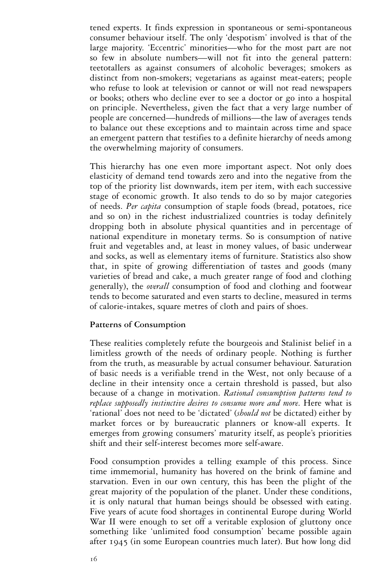tened experts. It finds expression in spontaneous or semi-spontaneous consumer behaviour itself. The only 'despotism' involved is that of the large majority. 'Eccentric' minorities—who for the most part are not so few in absolute numbers—will not fit into the general pattern: teetotallers as against consumers of alcoholic beverages; smokers as distinct from non-smokers; vegetarians as against meat-eaters; people who refuse to look at television or cannot or will not read newspapers or books; others who decline ever to see a doctor or go into a hospital on principle. Nevertheless, given the fact that a very large number of people are concerned—hundreds of millions—the law of averages tends to balance out these exceptions and to maintain across time and space an emergent pattern that testifies to a definite hierarchy of needs among the overwhelming majority of consumers.

This hierarchy has one even more important aspect. Not only does elasticity of demand tend towards zero and into the negative from the top of the priority list downwards, item per item, with each successive stage of economic growth. It also tends to do so by major categories of needs. *Per capita* consumption of staple foods (bread, potatoes, rice and so on) in the richest industrialized countries is today definitely dropping both in absolute physical quantities and in percentage of national expenditure in monetary terms. So is consumption of native fruit and vegetables and, at least in money values, of basic underwear and socks, as well as elementary items of furniture. Statistics also show that, in spite of growing differentiation of tastes and goods (many varieties of bread and cake, a much greater range of food and clothing generally), the *overall* consumption of food and clothing and footwear tends to become saturated and even starts to decline, measured in terms of calorie-intakes, square metres of cloth and pairs of shoes.

#### **Patterns of Consumption**

These realities completely refute the bourgeois and Stalinist belief in a limitless growth of the needs of ordinary people. Nothing is further from the truth, as measurable by actual consumer behaviour. Saturation of basic needs is a verifiable trend in the West, not only because of a decline in their intensity once a certain threshold is passed, but also because of a change in motivation. *Rational consumption patterns tend to replace supposedly instinctive desires to consume more and more*. Here what is 'rational' does not need to be 'dictated' (*should not* be dictated) either by market forces or by bureaucratic planners or know-all experts. It emerges from growing consumers' maturity itself, as people's priorities shift and their self-interest becomes more self-aware.

Food consumption provides a telling example of this process. Since time immemorial, humanity has hovered on the brink of famine and starvation. Even in our own century, this has been the plight of the great majority of the population of the planet. Under these conditions, it is only natural that human beings should be obsessed with eating. Five years of acute food shortages in continental Europe during World War II were enough to set off a veritable explosion of gluttony once something like 'unlimited food consumption' became possible again after 1945 (in some European countries much later). But how long did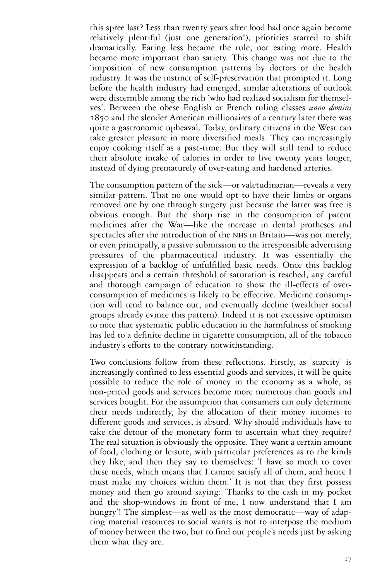this spree last? Less than twenty years after food had once again become relatively plentiful (just one generation!), priorities started to shift dramatically. Eating less became the rule, not eating more. Health became more important than satiety. This change was not due to the 'imposition' of new consumption patterns by doctors or the health industry. It was the instinct of self-preservation that prompted it. Long before the health industry had emerged, similar alterations of outlook were discernible among the rich 'who had realized socialism for themselves'. Between the obese English or French ruling classes *anno domini*  1850 and the slender American millionaires of a century later there was quite a gastronomic upheaval. Today, ordinary citizens in the West can take greater pleasure in more diversified meals. They can increasingly enjoy cooking itself as a past-time. But they will still tend to reduce their absolute intake of calories in order to live twenty years longer, instead of dying prematurely of over-eating and hardened arteries.

The consumption pattern of the sick—or valetudinarian—reveals a very similar pattern. That no one would opt to have their limbs or organs removed one by one through surgery just because the latter was free is obvious enough. But the sharp rise in the consumption of patent medicines after the War—like the increase in dental protheses and spectacles after the introduction of the NHS in Britain—was not merely, or even principally, a passive submission to the irresponsible advertising pressures of the pharmaceutical industry. It was essentially the expression of a backlog of unfulfilled basic needs. Once this backlog disappears and a certain threshold of saturation is reached, any careful and thorough campaign of education to show the ill-effects of overconsumption of medicines is likely to be effective. Medicine consumption will tend to balance out, and eventually decline (wealthier social groups already evince this pattern). Indeed it is not excessive optimism to note that systematic public education in the harmfulness of smoking has led to a definite decline in cigarette consumption, all of the tobacco industry's efforts to the contrary notwithstanding.

Two conclusions follow from these reflections. Firstly, as 'scarcity' is increasingly confined to less essential goods and services, it will be quite possible to reduce the role of money in the economy as a whole, as non-priced goods and services become more numerous than goods and services bought. For the assumption that consumers can only determine their needs indirectly, by the allocation of their money incomes to different goods and services, is absurd. Why should individuals have to take the detour of the monetary form to ascertain what they require? The real situation is obviously the opposite. They want a certain amount of food, clothing or leisure, with particular preferences as to the kinds they like, and then they say to themselves: 'I have so much to cover these needs, which means that I cannot satisfy all of them, and hence I must make my choices within them.' It is not that they first possess money and then go around saying: 'Thanks to the cash in my pocket and the shop-windows in front of me, I now understand that I am hungry'! The simplest—as well as the most democratic—way of adapting material resources to social wants is not to interpose the medium of money between the two, but to find out people's needs just by asking them what they are.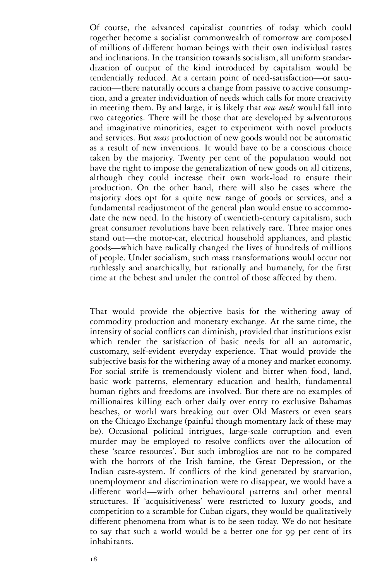Of course, the advanced capitalist countries of today which could together become a socialist commonwealth of tomorrow are composed of millions of different human beings with their own individual tastes and inclinations. In the transition towards socialism, all uniform standardization of output of the kind introduced by capitalism would be tendentially reduced. At a certain point of need-satisfaction—or saturation—there naturally occurs a change from passive to active consumption, and a greater individuation of needs which calls for more creativity in meeting them. By and large, it is likely that *new needs* would fall into two categories. There will be those that are developed by adventurous and imaginative minorities, eager to experiment with novel products and services. But *mass* production of new goods would not be automatic as a result of new inventions. It would have to be a conscious choice taken by the majority. Twenty per cent of the population would not have the right to impose the generalization of new goods on all citizens, although they could increase their own work-load to ensure their production. On the other hand, there will also be cases where the majority does opt for a quite new range of goods or services, and a fundamental readjustment of the general plan would ensue to accommodate the new need. In the history of twentieth-century capitalism, such great consumer revolutions have been relatively rare. Three major ones stand out—the motor-car, electrical household appliances, and plastic goods—which have radically changed the lives of hundreds of millions of people. Under socialism, such mass transformations would occur not ruthlessly and anarchically, but rationally and humanely, for the first time at the behest and under the control of those affected by them.

That would provide the objective basis for the withering away of commodity production and monetary exchange. At the same time, the intensity of social conflicts can diminish, provided that institutions exist which render the satisfaction of basic needs for all an automatic, customary, self-evident everyday experience. That would provide the subjective basis for the withering away of a money and market economy. For social strife is tremendously violent and bitter when food, land, basic work patterns, elementary education and health, fundamental human rights and freedoms are involved. But there are no examples of millionaires killing each other daily over entry to exclusive Bahamas beaches, or world wars breaking out over Old Masters or even seats on the Chicago Exchange (painful though momentary lack of these may be). Occasional political intrigues, large-scale corruption and even murder may be employed to resolve conflicts over the allocation of these 'scarce resources'. But such imbroglios are not to be compared with the horrors of the Irish famine, the Great Depression, or the Indian caste-system. If conflicts of the kind generated by starvation, unemployment and discrimination were to disappear, we would have a different world—with other behavioural patterns and other mental structures. If 'acquisitiveness' were restricted to luxury goods, and competition to a scramble for Cuban cigars, they would be qualitatively different phenomena from what is to be seen today. We do not hesitate to say that such a world would be a better one for 99 per cent of its inhabitants.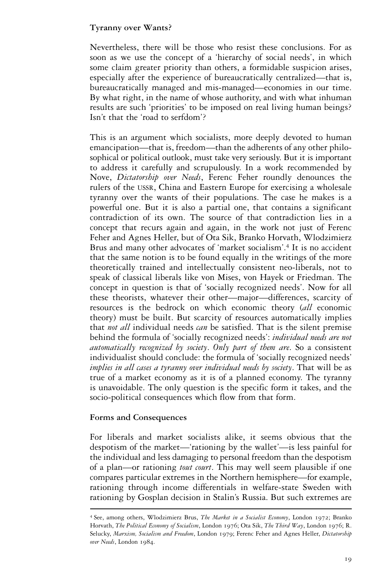# **Tyranny over Wants?**

Nevertheless, there will be those who resist these conclusions. For as soon as we use the concept of a 'hierarchy of social needs', in which some claim greater priority than others, a formidable suspicion arises, especially after the experience of bureaucratically centralized—that is, bureaucratically managed and mis-managed—economies in our time. By what right, in the name of whose authority, and with what inhuman results are such 'priorities' to be imposed on real living human beings? Isn't that the 'road to serfdom'?

This is an argument which socialists, more deeply devoted to human emancipation—that is, freedom—than the adherents of any other philosophical or political outlook, must take very seriously. But it is important to address it carefully and scrupulously. In a work recommended by Nove, *Dictatorship over Needs*, Ferenc Feher roundly denounces the rulers of the USSR, China and Eastern Europe for exercising a wholesale tyranny over the wants of their populations. The case he makes is a powerful one. But it is also a partial one, that contains a significant contradiction of its own. The source of that contradiction lies in a concept that recurs again and again, in the work not just of Ferenc Feher and Agnes Heller, but of Ota Sik, Branko Horvath, Wlodzimierz Brus and many other advocates of 'market socialism'.<sup>4</sup> It is no accident that the same notion is to be found equally in the writings of the more theoretically trained and intellectually consistent neo-liberals, not to speak of classical liberals like von Mises, von Hayek or Friedman. The concept in question is that of 'socially recognized needs'. Now for all these theorists, whatever their other—major—differences, scarcity of resources is the bedrock on which economic theory (*all* economic theory) must be built. But scarcity of resources automatically implies that *not all* individual needs *can* be satisfied. That is the silent premise behind the formula of 'socially recognized needs': *individual needs are not automatically recognized by society*. *Only part of them are*. So a consistent individualist should conclude: the formula of 'socially recognized needs' *implies in all cases a tyranny over individual needs by society*. That will be as true of a market economy as it is of a planned economy. The tyranny is unavoidable. The only question is the specific form it takes, and the socio-political consequences which flow from that form.

# **Forms and Consequences**

For liberals and market socialists alike, it seems obvious that the despotism of the market—'rationing by the wallet'—is less painful for the individual and less damaging to personal freedom than the despotism of a plan—or rationing *tout court*. This may well seem plausible if one compares particular extremes in the Northern hemisphere—for example, rationing through income differentials in welfare-state Sweden with rationing by Gosplan decision in Stalin's Russia. But such extremes are

<sup>4</sup> See, among others, Wlodzimierz Brus, *The Market in a Socialist Economy*, London 1972; Branko Horvath, *The Political Economy of Socialism*, London 1976; Ota Sik, *The Third Way*, London 1976; R. Selucky, *Marxism, Socialism and Freedom*, London 1979; Ferenc Feher and Agnes Heller, *Dictatorship over Needs*, London 1984.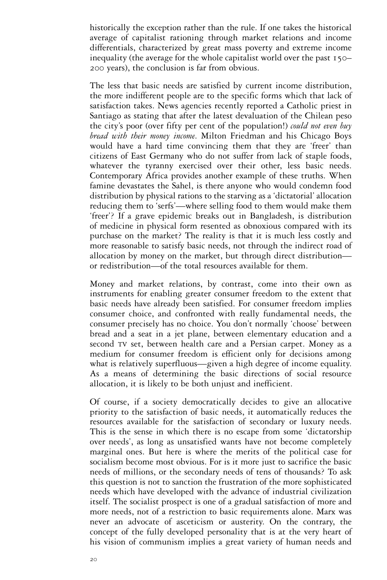historically the exception rather than the rule. If one takes the historical average of capitalist rationing through market relations and income differentials, characterized by great mass poverty and extreme income inequality (the average for the whole capitalist world over the past 150– 200 years), the conclusion is far from obvious.

The less that basic needs are satisfied by current income distribution, the more indifferent people are to the specific forms which that lack of satisfaction takes. News agencies recently reported a Catholic priest in Santiago as stating that after the latest devaluation of the Chilean peso the city's poor (over fifty per cent of the population!) *could not even buy bread with their money income*. Milton Friedman and his Chicago Boys would have a hard time convincing them that they are 'freer' than citizens of East Germany who do not suffer from lack of staple foods, whatever the tyranny exercised over their other, less basic needs. Contemporary Africa provides another example of these truths. When famine devastates the Sahel, is there anyone who would condemn food distribution by physical rations to the starving as a 'dictatorial' allocation reducing them to 'serfs'—where selling food to them would make them 'freer'? If a grave epidemic breaks out in Bangladesh, is distribution of medicine in physical form resented as obnoxious compared with its purchase on the market? The reality is that it is much less costly and more reasonable to satisfy basic needs, not through the indirect road of allocation by money on the market, but through direct distribution or redistribution—of the total resources available for them.

Money and market relations, by contrast, come into their own as instruments for enabling greater consumer freedom to the extent that basic needs have already been satisfied. For consumer freedom implies consumer choice, and confronted with really fundamental needs, the consumer precisely has no choice. You don't normally 'choose' between bread and a seat in a jet plane, between elementary education and a second TV set, between health care and a Persian carpet. Money as a medium for consumer freedom is efficient only for decisions among what is relatively superfluous—given a high degree of income equality. As a means of determining the basic directions of social resource allocation, it is likely to be both unjust and inefficient.

Of course, if a society democratically decides to give an allocative priority to the satisfaction of basic needs, it automatically reduces the resources available for the satisfaction of secondary or luxury needs. This is the sense in which there is no escape from some 'dictatorship over needs', as long as unsatisfied wants have not become completely marginal ones. But here is where the merits of the political case for socialism become most obvious. For is it more just to sacrifice the basic needs of millions, or the secondary needs of tens of thousands? To ask this question is not to sanction the frustration of the more sophisticated needs which have developed with the advance of industrial civilization itself. The socialist prospect is one of a gradual satisfaction of more and more needs, not of a restriction to basic requirements alone. Marx was never an advocate of asceticism or austerity. On the contrary, the concept of the fully developed personality that is at the very heart of his vision of communism implies a great variety of human needs and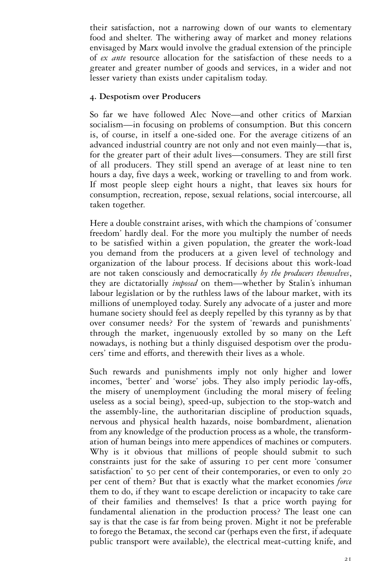their satisfaction, not a narrowing down of our wants to elementary food and shelter. The withering away of market and money relations envisaged by Marx would involve the gradual extension of the principle of *ex ante* resource allocation for the satisfaction of these needs to a greater and greater number of goods and services, in a wider and not lesser variety than exists under capitalism today.

# **4. Despotism over Producers**

So far we have followed Alec Nove—and other critics of Marxian socialism—in focusing on problems of consumption. But this concern is, of course, in itself a one-sided one. For the average citizens of an advanced industrial country are not only and not even mainly—that is, for the greater part of their adult lives—consumers. They are still first of all producers. They still spend an average of at least nine to ten hours a day, five days a week, working or travelling to and from work. If most people sleep eight hours a night, that leaves six hours for consumption, recreation, repose, sexual relations, social intercourse, all taken together.

Here a double constraint arises, with which the champions of 'consumer freedom' hardly deal. For the more you multiply the number of needs to be satisfied within a given population, the greater the work-load you demand from the producers at a given level of technology and organization of the labour process. If decisions about this work-load are not taken consciously and democratically *by the producers themselves*, they are dictatorially *imposed* on them—whether by Stalin's inhuman labour legislation or by the ruthless laws of the labour market, with its millions of unemployed today. Surely any advocate of a juster and more humane society should feel as deeply repelled by this tyranny as by that over consumer needs? For the system of 'rewards and punishments' through the market, ingenuously extolled by so many on the Left nowadays, is nothing but a thinly disguised despotism over the producers' time and efforts, and therewith their lives as a whole.

Such rewards and punishments imply not only higher and lower incomes, 'better' and 'worse' jobs. They also imply periodic lay-offs, the misery of unemployment (including the moral misery of feeling useless as a social being), speed-up, subjection to the stop-watch and the assembly-line, the authoritarian discipline of production squads, nervous and physical health hazards, noise bombardment, alienation from any knowledge of the production process as a whole, the transformation of human beings into mere appendices of machines or computers. Why is it obvious that millions of people should submit to such constraints just for the sake of assuring 10 per cent more 'consumer satisfaction' to 50 per cent of their contemporaries, or even to only 20 per cent of them? But that is exactly what the market economies *force*  them to do, if they want to escape dereliction or incapacity to take care of their families and themselves! Is that a price worth paying for fundamental alienation in the production process? The least one can say is that the case is far from being proven. Might it not be preferable to forego the Betamax, the second car (perhaps even the first, if adequate public transport were available), the electrical meat-cutting knife, and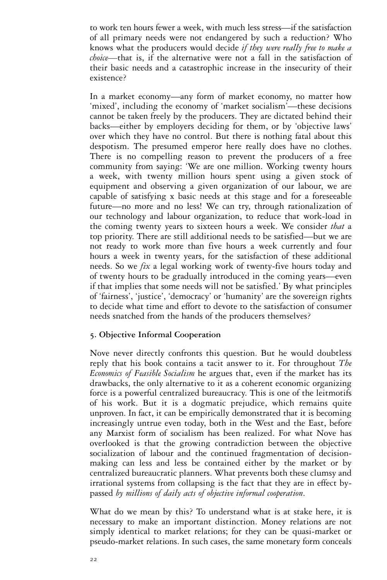to work ten hours fewer a week, with much less stress—if the satisfaction of all primary needs were not endangered by such a reduction? Who knows what the producers would decide *if they were really free to make a choice—*that is, if the alternative were not a fall in the satisfaction of their basic needs and a catastrophic increase in the insecurity of their existence?

In a market economy—any form of market economy, no matter how 'mixed', including the economy of 'market socialism'—these decisions cannot be taken freely by the producers. They are dictated behind their backs—either by employers deciding for them, or by 'objective laws' over which they have no control. But there is nothing fatal about this despotism. The presumed emperor here really does have no clothes. There is no compelling reason to prevent the producers of a free community from saying: 'We are one million. Working twenty hours a week, with twenty million hours spent using a given stock of equipment and observing a given organization of our labour, we are capable of satisfying x basic needs at this stage and for a foreseeable future—no more and no less! We can try, through rationalization of our technology and labour organization, to reduce that work-load in the coming twenty years to sixteen hours a week. We consider *that* a top priority. There are still additional needs to be satisfied—but we are not ready to work more than five hours a week currently and four hours a week in twenty years, for the satisfaction of these additional needs. So we *fix* a legal working work of twenty-five hours today and of twenty hours to be gradually introduced in the coming years—even if that implies that some needs will not be satisfied.' By what principles of 'fairness', 'justice', 'democracy' or 'humanity' are the sovereign rights to decide what time and effort to devote to the satisfaction of consumer needs snatched from the hands of the producers themselves?

# **5. Objective Informal Cooperation**

Nove never directly confronts this question. But he would doubtless reply that his book contains a tacit answer to it. For throughout *The Economics of Feasible Socialism* he argues that, even if the market has its drawbacks, the only alternative to it as a coherent economic organizing force is a powerful centralized bureaucracy. This is one of the leitmotifs of his work. But it is a dogmatic prejudice, which remains quite unproven. In fact, it can be empirically demonstrated that it is becoming increasingly untrue even today, both in the West and the East, before any Marxist form of socialism has been realized. For what Nove has overlooked is that the growing contradiction between the objective socialization of labour and the continued fragmentation of decisionmaking can less and less be contained either by the market or by centralized bureaucratic planners. What prevents both these clumsy and irrational systems from collapsing is the fact that they are in effect bypassed *by millions of daily acts of objective informal cooperation*.

What do we mean by this? To understand what is at stake here, it is necessary to make an important distinction. Money relations are not simply identical to market relations; for they can be quasi-market or pseudo-market relations. In such cases, the same monetary form conceals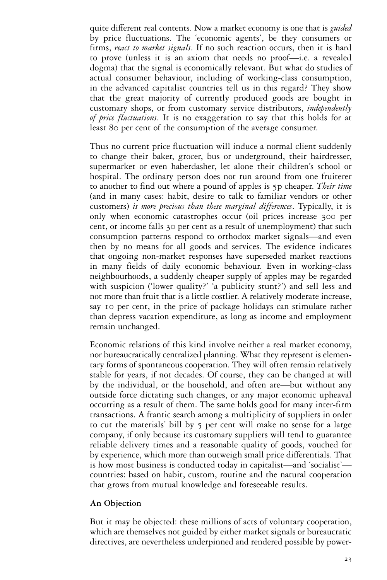quite different real contents. Now a market economy is one that is *guided*  by price fluctuations. The 'economic agents', be they consumers or firms, *react to market signals*. If no such reaction occurs, then it is hard to prove (unless it is an axiom that needs no proof—i.e. a revealed dogma) that the signal is economically relevant. But what do studies of actual consumer behaviour, including of working-class consumption, in the advanced capitalist countries tell us in this regard? They show that the great majority of currently produced goods are bought in customary shops, or from customary service distributors, *independently of price fluctuations*. It is no exaggeration to say that this holds for at least 80 per cent of the consumption of the average consumer.

Thus no current price fluctuation will induce a normal client suddenly to change their baker, grocer, bus or underground, their hairdresser, supermarket or even haberdasher, let alone their children's school or hospital. The ordinary person does not run around from one fruiterer to another to find out where a pound of apples is 5p cheaper. *Their time*  (and in many cases: habit, desire to talk to familiar vendors or other customers) *is more precious than these marginal differences*. Typically, it is only when economic catastrophes occur (oil prices increase 300 per cent, or income falls 30 per cent as a result of unemployment) that such consumption patterns respond to orthodox market signals—and even then by no means for all goods and services. The evidence indicates that ongoing non-market responses have superseded market reactions in many fields of daily economic behaviour. Even in working-class neighbourhoods, a suddenly cheaper supply of apples may be regarded with suspicion ('lower quality?' 'a publicity stunt?') and sell less and not more than fruit that is a little costlier. A relatively moderate increase, say 10 per cent, in the price of package holidays can stimulate rather than depress vacation expenditure, as long as income and employment remain unchanged.

Economic relations of this kind involve neither a real market economy, nor bureaucratically centralized planning. What they represent is elementary forms of spontaneous cooperation. They will often remain relatively stable for years, if not decades. Of course, they can be changed at will by the individual, or the household, and often are—but without any outside force dictating such changes, or any major economic upheaval occurring as a result of them. The same holds good for many inter-firm transactions. A frantic search among a multiplicity of suppliers in order to cut the materials' bill by 5 per cent will make no sense for a large company, if only because its customary suppliers will tend to guarantee reliable delivery times and a reasonable quality of goods, vouched for by experience, which more than outweigh small price differentials. That is how most business is conducted today in capitalist—and 'socialist' countries: based on habit, custom, routine and the natural cooperation that grows from mutual knowledge and foreseeable results.

# **An Objection**

But it may be objected: these millions of acts of voluntary cooperation, which are themselves not guided by either market signals or bureaucratic directives, are nevertheless underpinned and rendered possible by power-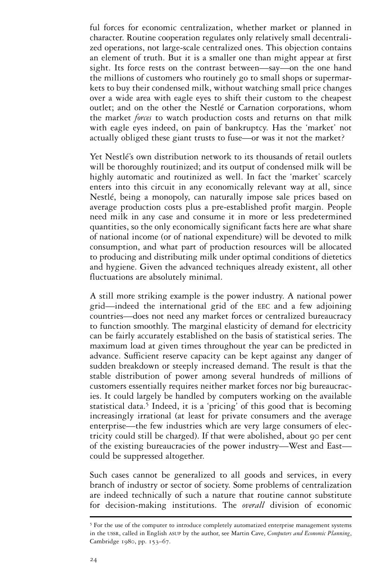ful forces for economic centralization, whether market or planned in character. Routine cooperation regulates only relatively small decentralized operations, not large-scale centralized ones. This objection contains an element of truth. But it is a smaller one than might appear at first sight. Its force rests on the contrast between—say—on the one hand the millions of customers who routinely go to small shops or supermarkets to buy their condensed milk, without watching small price changes over a wide area with eagle eyes to shift their custom to the cheapest outlet; and on the other the Nestlé or Carnation corporations, whom the market *forces* to watch production costs and returns on that milk with eagle eyes indeed, on pain of bankruptcy. Has the 'market' not actually obliged these giant trusts to fuse—or was it not the market?

Yet Nestlé's own distribution network to its thousands of retail outlets will be thoroughly routinized; and its output of condensed milk will be highly automatic and routinized as well. In fact the 'market' scarcely enters into this circuit in any economically relevant way at all, since Nestlé, being a monopoly, can naturally impose sale prices based on average production costs plus a pre-established profit margin. People need milk in any case and consume it in more or less predetermined quantities, so the only economically significant facts here are what share of national income (or of national expenditure) will be devoted to milk consumption, and what part of production resources will be allocated to producing and distributing milk under optimal conditions of dietetics and hygiene. Given the advanced techniques already existent, all other fluctuations are absolutely minimal.

A still more striking example is the power industry. A national power grid—indeed the international grid of the EEC and a few adjoining countries—does not need any market forces or centralized bureaucracy to function smoothly. The marginal elasticity of demand for electricity can be fairly accurately established on the basis of statistical series. The maximum load at given times throughout the year can be predicted in advance. Sufficient reserve capacity can be kept against any danger of sudden breakdown or steeply increased demand. The result is that the stable distribution of power among several hundreds of millions of customers essentially requires neither market forces nor big bureaucracies. It could largely be handled by computers working on the available statistical data.<sup>5</sup> Indeed, it is a 'pricing' of this good that is becoming increasingly irrational (at least for private consumers and the average enterprise—the few industries which are very large consumers of electricity could still be charged). If that were abolished, about 90 per cent of the existing bureaucracies of the power industry—West and East could be suppressed altogether.

Such cases cannot be generalized to all goods and services, in every branch of industry or sector of society. Some problems of centralization are indeed technically of such a nature that routine cannot substitute for decision-making institutions. The *overall* division of economic

<sup>5</sup> For the use of the computer to introduce completely automatized enterprise management systems in the USSR, called in English ASUP by the author, see Martin Cave, *Computers and Economic Planning*, Cambridge 1980, pp. 153–67.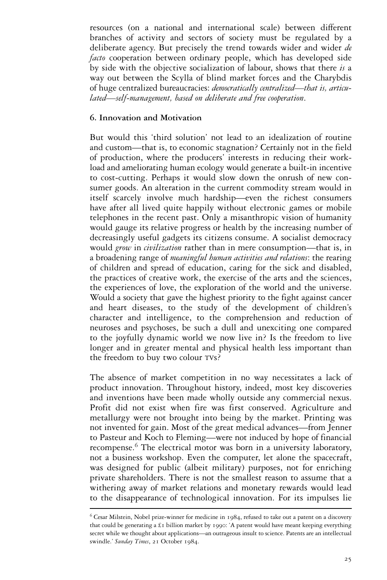resources (on a national and international scale) between different branches of activity and sectors of society must be regulated by a deliberate agency. But precisely the trend towards wider and wider *de facto* cooperation between ordinary people, which has developed side by side with the objective socialization of labour, shows that there *is* a way out between the Scylla of blind market forces and the Charybdis of huge centralized bureaucracies: *democratically centralized—that is, articulated—self-management, based on deliberate and free cooperation*.

# **6. Innovation and Motivation**

But would this 'third solution' not lead to an idealization of routine and custom—that is, to economic stagnation? Certainly not in the field of production, where the producers' interests in reducing their workload and ameliorating human ecology would generate a built-in incentive to cost-cutting. Perhaps it would slow down the onrush of new consumer goods. An alteration in the current commodity stream would in itself scarcely involve much hardship—even the richest consumers have after all lived quite happily without electronic games or mobile telephones in the recent past. Only a misanthropic vision of humanity would gauge its relative progress or health by the increasing number of decreasingly useful gadgets its citizens consume. A socialist democracy would *grow* in *civilization* rather than in mere consumption—that is, in a broadening range of *meaningful human activities and relations*: the rearing of children and spread of education, caring for the sick and disabled, the practices of creative work, the exercise of the arts and the sciences, the experiences of love, the exploration of the world and the universe. Would a society that gave the highest priority to the fight against cancer and heart diseases, to the study of the development of children's character and intelligence, to the comprehension and reduction of neuroses and psychoses, be such a dull and unexciting one compared to the joyfully dynamic world we now live in? Is the freedom to live longer and in greater mental and physical health less important than the freedom to buy two colour TVs?

The absence of market competition in no way necessitates a lack of product innovation. Throughout history, indeed, most key discoveries and inventions have been made wholly outside any commercial nexus. Profit did not exist when fire was first conserved. Agriculture and metallurgy were not brought into being by the market. Printing was not invented for gain. Most of the great medical advances—from Jenner to Pasteur and Koch to Fleming—were not induced by hope of financial recompense.<sup>6</sup> The electrical motor was born in a university laboratory, not a business workshop. Even the computer, let alone the spacecraft, was designed for public (albeit military) purposes, not for enriching private shareholders. There is not the smallest reason to assume that a withering away of market relations and monetary rewards would lead to the disappearance of technological innovation. For its impulses lie

 $6$  Cesar Milstein, Nobel prize-winner for medicine in 1984, refused to take out a patent on a discovery that could be generating a £1 billion market by 1990: 'A patent would have meant keeping everything secret while we thought about applications—an outrageous insult to science. Patents are an intellectual swindle.' *Sunday Times*, 21 October 1984.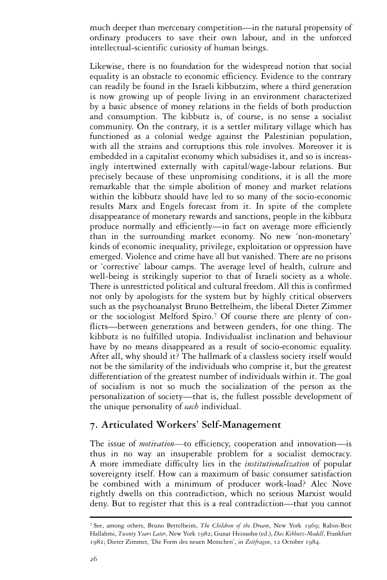much deeper than mercenary competition—in the natural propensity of ordinary producers to save their own labour, and in the unforced intellectual-scientific curiosity of human beings.

Likewise, there is no foundation for the widespread notion that social equality is an obstacle to economic efficiency. Evidence to the contrary can readily be found in the Israeli kibbutzim, where a third generation is now growing up of people living in an environment characterized by a basic absence of money relations in the fields of both production and consumption. The kibbutz is, of course, is no sense a socialist community. On the contrary, it is a settler military village which has functioned as a colonial wedge against the Palestinian population, with all the strains and corruptions this role involves. Moreover it is embedded in a capitalist economy which subsidises it, and so is increasingly intertwined externally with capital/wage-labour relations. But precisely because of these unpromising conditions, it is all the more remarkable that the simple abolition of money and market relations within the kibbutz should have led to so many of the socio-economic results Marx and Engels forecast from it. In spite of the complete disappearance of monetary rewards and sanctions, people in the kibbutz produce normally and efficiently—in fact on average more efficiently than in the surrounding market economy. No new 'non-monetary' kinds of economic inequality, privilege, exploitation or oppression have emerged. Violence and crime have all but vanished. There are no prisons or 'corrective' labour camps. The average level of health, culture and well-being is strikingly superior to that of Israeli society as a whole. There is unrestricted political and cultural freedom. All this is confirmed not only by apologists for the system but by highly critical observers such as the psychoanalyst Bruno Bettelheim, the liberal Dieter Zimmer or the sociologist Melford Spiro.<sup>7</sup> Of course there are plenty of conflicts—between generations and between genders, for one thing. The kibbutz is no fulfilled utopia. Individualist inclination and behaviour have by no means disappeared as a result of socio-economic equality. After all, why should it? The hallmark of a classless society itself would not be the similarity of the individuals who comprise it, but the greatest differentiation of the greatest number of individuals within it. The goal of socialism is not so much the socialization of the person as the personalization of society—that is, the fullest possible development of the unique personality of *each* individual.

# **7. Articulated Workers' Self-Management**

The issue of *motivation—*to efficiency, cooperation and innovation—is thus in no way an insuperable problem for a socialist democracy. A more immediate difficulty lies in the *institutionalization* of popular sovereignty itself. How can a maximum of basic consumer satisfaction be combined with a minimum of producer work-load? Alec Nove rightly dwells on this contradiction, which no serious Marxist would deny. But to register that this is a real contradiction—that you cannot

<sup>7</sup> See, among others, Bruno Bettelheim, *The Children of the Dream*, New York 1969; Rabin-Beit Hallahmi, *Twenty Years Later*, New York 1982; Gunar Heinsohn (ed.), *Das Kibbutz-Modell*, Frankfurt 1982; Dieter Zimmer, 'Die Form des neuen Menschen', in *Zeitfragen*, 12 October 1984.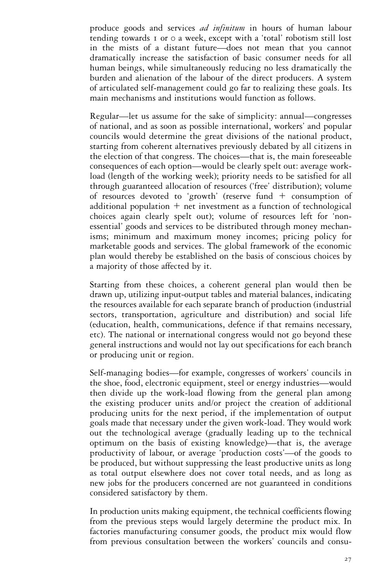produce goods and services *ad infinitum* in hours of human labour tending towards 1 or 0 a week, except with a 'total' robotism still lost in the mists of a distant future—does not mean that you cannot dramatically increase the satisfaction of basic consumer needs for all human beings, while simultaneously reducing no less dramatically the burden and alienation of the labour of the direct producers. A system of articulated self-management could go far to realizing these goals. Its main mechanisms and institutions would function as follows.

Regular—let us assume for the sake of simplicity: annual—congresses of national, and as soon as possible international, workers' and popular councils would determine the great divisions of the national product, starting from coherent alternatives previously debated by all citizens in the election of that congress. The choices—that is, the main foreseeable consequences of each option—would be clearly spelt out: average workload (length of the working week); priority needs to be satisfied for all through guaranteed allocation of resources ('free' distribution); volume of resources devoted to 'growth' (reserve fund  $+$  consumption of additional population  $+$  net investment as a function of technological choices again clearly spelt out); volume of resources left for 'nonessential' goods and services to be distributed through money mechanisms; minimum and maximum money incomes; pricing policy for marketable goods and services. The global framework of the economic plan would thereby be established on the basis of conscious choices by a majority of those affected by it.

Starting from these choices, a coherent general plan would then be drawn up, utilizing input-output tables and material balances, indicating the resources available for each separate branch of production (industrial sectors, transportation, agriculture and distribution) and social life (education, health, communications, defence if that remains necessary, etc). The national or international congress would not go beyond these general instructions and would not lay out specifications for each branch or producing unit or region.

Self-managing bodies—for example, congresses of workers' councils in the shoe, food, electronic equipment, steel or energy industries—would then divide up the work-load flowing from the general plan among the existing producer units and/or project the creation of additional producing units for the next period, if the implementation of output goals made that necessary under the given work-load. They would work out the technological average (gradually leading up to the technical optimum on the basis of existing knowledge)—that is, the average productivity of labour, or average 'production costs'—of the goods to be produced, but without suppressing the least productive units as long as total output elsewhere does not cover total needs, and as long as new jobs for the producers concerned are not guaranteed in conditions considered satisfactory by them.

In production units making equipment, the technical coefficients flowing from the previous steps would largely determine the product mix. In factories manufacturing consumer goods, the product mix would flow from previous consultation between the workers' councils and consu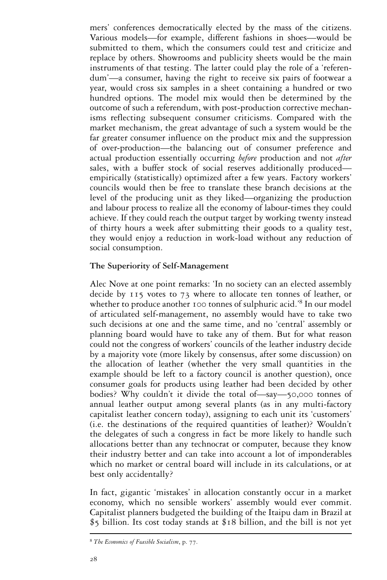mers' conferences democratically elected by the mass of the citizens. Various models—for example, different fashions in shoes—would be submitted to them, which the consumers could test and criticize and replace by others. Showrooms and publicity sheets would be the main instruments of that testing. The latter could play the role of a 'referendum'—a consumer, having the right to receive six pairs of footwear a year, would cross six samples in a sheet containing a hundred or two hundred options. The model mix would then be determined by the outcome of such a referendum, with post-production corrective mechanisms reflecting subsequent consumer criticisms. Compared with the market mechanism, the great advantage of such a system would be the far greater consumer influence on the product mix and the suppression of over-production—the balancing out of consumer preference and actual production essentially occurring *before* production and not *after*  sales, with a buffer stock of social reserves additionally produced empirically (statistically) optimized after a few years. Factory workers' councils would then be free to translate these branch decisions at the level of the producing unit as they liked—organizing the production and labour process to realize all the economy of labour-times they could achieve. If they could reach the output target by working twenty instead of thirty hours a week after submitting their goods to a quality test, they would enjoy a reduction in work-load without any reduction of social consumption.

#### **The Superiority of Self-Management**

Alec Nove at one point remarks: 'In no society can an elected assembly decide by 115 votes to 73 where to allocate ten tonnes of leather, or whether to produce another 100 tonnes of sulphuric acid.<sup>'8</sup> In our model of articulated self-management, no assembly would have to take two such decisions at one and the same time, and no 'central' assembly or planning board would have to take any of them. But for what reason could not the congress of workers' councils of the leather industry decide by a majority vote (more likely by consensus, after some discussion) on the allocation of leather (whether the very small quantities in the example should be left to a factory council is another question), once consumer goals for products using leather had been decided by other bodies? Why couldn't it divide the total of—say—50,000 tonnes of annual leather output among several plants (as in any multi-factory capitalist leather concern today), assigning to each unit its 'customers' (i.e. the destinations of the required quantities of leather)? Wouldn't the delegates of such a congress in fact be more likely to handle such allocations better than any technocrat or computer, because they know their industry better and can take into account a lot of imponderables which no market or central board will include in its calculations, or at best only accidentally?

In fact, gigantic 'mistakes' in allocation constantly occur in a market economy, which no sensible workers' assembly would ever commit. Capitalist planners budgeted the building of the Itaipu dam in Brazil at \$5 billion. Its cost today stands at \$18 billion, and the bill is not yet

<sup>8</sup> *The Economics of Feasible Socialism*, p. 77.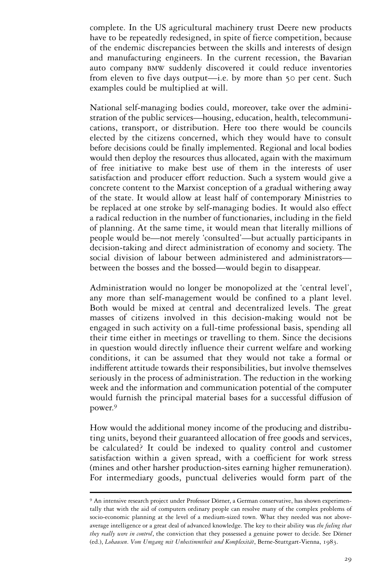complete. In the US agricultural machinery trust Deere new products have to be repeatedly redesigned, in spite of fierce competition, because of the endemic discrepancies between the skills and interests of design and manufacturing engineers. In the current recession, the Bavarian auto company BMW suddenly discovered it could reduce inventories from eleven to five days output—i.e. by more than 50 per cent. Such examples could be multiplied at will.

National self-managing bodies could, moreover, take over the administration of the public services—housing, education, health, telecommunications, transport, or distribution. Here too there would be councils elected by the citizens concerned, which they would have to consult before decisions could be finally implemented. Regional and local bodies would then deploy the resources thus allocated, again with the maximum of free initiative to make best use of them in the interests of user satisfaction and producer effort reduction. Such a system would give a concrete content to the Marxist conception of a gradual withering away of the state. It would allow at least half of contemporary Ministries to be replaced at one stroke by self-managing bodies. It would also effect a radical reduction in the number of functionaries, including in the field of planning. At the same time, it would mean that literally millions of people would be—not merely 'consulted'—but actually participants in decision-taking and direct administration of economy and society. The social division of labour between administered and administrators between the bosses and the bossed—would begin to disappear.

Administration would no longer be monopolized at the 'central level', any more than self-management would be confined to a plant level. Both would be mixed at central and decentralized levels. The great masses of citizens involved in this decision-making would not be engaged in such activity on a full-time professional basis, spending all their time either in meetings or travelling to them. Since the decisions in question would directly influence their current welfare and working conditions, it can be assumed that they would not take a formal or indifferent attitude towards their responsibilities, but involve themselves seriously in the process of administration. The reduction in the working week and the information and communication potential of the computer would furnish the principal material bases for a successful diffusion of power.<sup>9</sup>

How would the additional money income of the producing and distributing units, beyond their guaranteed allocation of free goods and services, be calculated? It could be indexed to quality control and customer satisfaction within a given spread, with a coefficient for work stress (mines and other harsher production-sites earning higher remuneration). For intermediary goods, punctual deliveries would form part of the

<sup>9</sup> An intensive research project under Professor Dörner, a German conservative, has shown experimentally that with the aid of computers ordinary people can resolve many of the complex problems of socio-economic planning at the level of a medium-sized town. What they needed was not aboveaverage intelligence or a great deal of advanced knowledge. The key to their ability was *the feeling that they really were in control*, the conviction that they possessed a genuine power to decide. See Dörner (ed.), *Lohausen*. *Vom Umgang mit Unbestimmtheit und Komplexität*, Berne-Stuttgart-Vienna, 1983.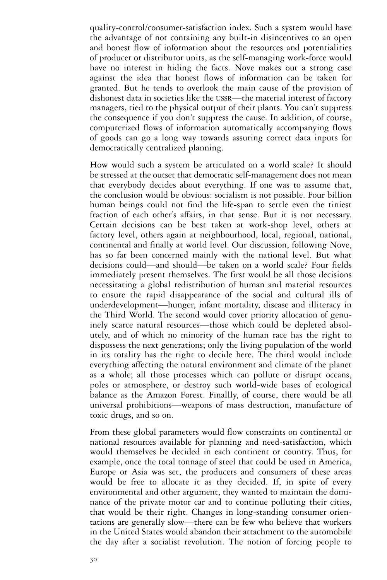quality-control/consumer-satisfaction index. Such a system would have the advantage of not containing any built-in disincentives to an open and honest flow of information about the resources and potentialities of producer or distributor units, as the self-managing work-force would have no interest in hiding the facts. Nove makes out a strong case against the idea that honest flows of information can be taken for granted. But he tends to overlook the main cause of the provision of dishonest data in societies like the USSR—the material interest of factory managers, tied to the physical output of their plants. You can't suppress the consequence if you don't suppress the cause. In addition, of course, computerized flows of information automatically accompanying flows of goods can go a long way towards assuring correct data inputs for democratically centralized planning.

How would such a system be articulated on a world scale? It should be stressed at the outset that democratic self-management does not mean that everybody decides about everything. If one was to assume that, the conclusion would be obvious: socialism is not possible. Four billion human beings could not find the life-span to settle even the tiniest fraction of each other's affairs, in that sense. But it is not necessary. Certain decisions can be best taken at work-shop level, others at factory level, others again at neighbourhood, local, regional, national, continental and finally at world level. Our discussion, following Nove, has so far been concerned mainly with the national level. But what decisions could—and should—be taken on a world scale? Four fields immediately present themselves. The first would be all those decisions necessitating a global redistribution of human and material resources to ensure the rapid disappearance of the social and cultural ills of underdevelopment—hunger, infant mortality, disease and illiteracy in the Third World. The second would cover priority allocation of genuinely scarce natural resources—those which could be depleted absolutely, and of which no minority of the human race has the right to dispossess the next generations; only the living population of the world in its totality has the right to decide here. The third would include everything affecting the natural environment and climate of the planet as a whole; all those processes which can pollute or disrupt oceans, poles or atmosphere, or destroy such world-wide bases of ecological balance as the Amazon Forest. Finallly, of course, there would be all universal prohibitions—weapons of mass destruction, manufacture of toxic drugs, and so on.

From these global parameters would flow constraints on continental or national resources available for planning and need-satisfaction, which would themselves be decided in each continent or country. Thus, for example, once the total tonnage of steel that could be used in America, Europe or Asia was set, the producers and consumers of these areas would be free to allocate it as they decided. If, in spite of every environmental and other argument, they wanted to maintain the dominance of the private motor car and to continue polluting their cities, that would be their right. Changes in long-standing consumer orientations are generally slow—there can be few who believe that workers in the United States would abandon their attachment to the automobile the day after a socialist revolution. The notion of forcing people to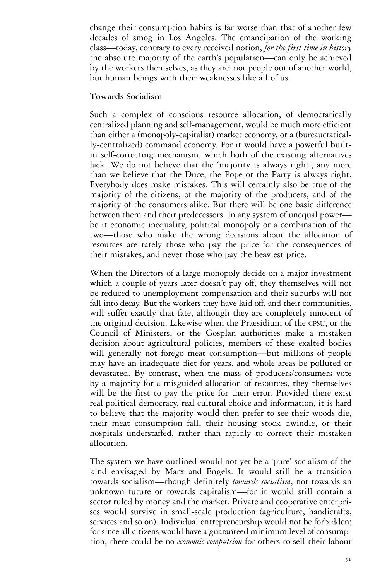change their consumption habits is far worse than that of another few decades of smog in Los Angeles. The emancipation of the working class—today, contrary to every received notion, *for the first time in history*  the absolute majority of the earth's population—can only be achieved by the workers themselves, as they are: not people out of another world, but human beings with their weaknesses like all of us.

#### **Towards Socialism**

Such a complex of conscious resource allocation, of democratically centralized planning and self-management, would be much more efficient than either a (monopoly-capitalist) market economy, or a (bureaucratically-centralized) command economy. For it would have a powerful builtin self-correcting mechanism, which both of the existing alternatives lack. We do not believe that the 'majority is always right', any more than we believe that the Duce, the Pope or the Party is always right. Everybody does make mistakes. This will certainly also be true of the majority of the citizens, of the majority of the producers, and of the majority of the consumers alike. But there will be one basic difference between them and their predecessors. In any system of unequal power be it economic inequality, political monopoly or a combination of the two—those who make the wrong decisions about the allocation of resources are rarely those who pay the price for the consequences of their mistakes, and never those who pay the heaviest price.

When the Directors of a large monopoly decide on a major investment which a couple of years later doesn't pay off, they themselves will not be reduced to unemployment compensation and their suburbs will not fall into decay. But the workers they have laid off, and their communities, will suffer exactly that fate, although they are completely innocent of the original decision. Likewise when the Praesidium of the CPSU, or the Council of Ministers, or the Gosplan authorities make a mistaken decision about agricultural policies, members of these exalted bodies will generally not forego meat consumption—but millions of people may have an inadequate diet for years, and whole areas be polluted or devastated. By contrast, when the mass of producers/consumers vote by a majority for a misguided allocation of resources, they themselves will be the first to pay the price for their error. Provided there exist real political democracy, real cultural choice and information, it is hard to believe that the majority would then prefer to see their woods die, their meat consumption fall, their housing stock dwindle, or their hospitals understaffed, rather than rapidly to correct their mistaken allocation.

The system we have outlined would not yet be a 'pure' socialism of the kind envisaged by Marx and Engels. It would still be a transition towards socialism—though definitely *towards socialism*, not towards an unknown future or towards capitalism—for it would still contain a sector ruled by money and the market. Private and cooperative enterprises would survive in small-scale production (agriculture, handicrafts, services and so on). Individual entrepreneurship would not be forbidden; for since all citizens would have a guaranteed minimum level of consumption, there could be no *economic compulsion* for others to sell their labour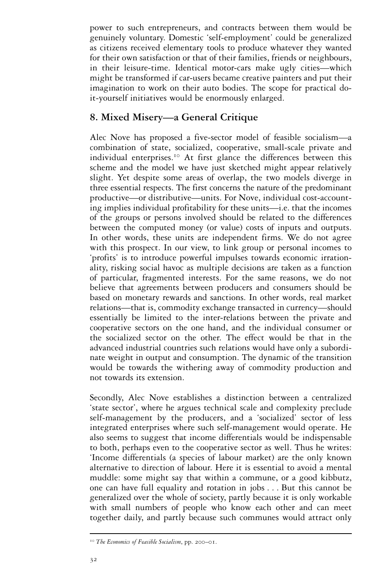power to such entrepreneurs, and contracts between them would be genuinely voluntary. Domestic 'self-employment' could be generalized as citizens received elementary tools to produce whatever they wanted for their own satisfaction or that of their families, friends or neighbours, in their leisure-time. Identical motor-cars make ugly cities—which might be transformed if car-users became creative painters and put their imagination to work on their auto bodies. The scope for practical doit-yourself initiatives would be enormously enlarged.

# **8. Mixed Misery—a General Critique**

Alec Nove has proposed a five-sector model of feasible socialism—a combination of state, socialized, cooperative, small-scale private and individual enterprises.<sup>10</sup> At first glance the differences between this scheme and the model we have just sketched might appear relatively slight. Yet despite some areas of overlap, the two models diverge in three essential respects. The first concerns the nature of the predominant productive—or distributive—units. For Nove, individual cost-accounting implies individual profitability for these units—i.e. that the incomes of the groups or persons involved should be related to the differences between the computed money (or value) costs of inputs and outputs. In other words, these units are independent firms. We do not agree with this prospect. In our view, to link group or personal incomes to 'profits' is to introduce powerful impulses towards economic irrationality, risking social havoc as multiple decisions are taken as a function of particular, fragmented interests. For the same reasons, we do not believe that agreements between producers and consumers should be based on monetary rewards and sanctions. In other words, real market relations—that is, commodity exchange transacted in currency—should essentially be limited to the inter-relations between the private and cooperative sectors on the one hand, and the individual consumer or the socialized sector on the other. The effect would be that in the advanced industrial countries such relations would have only a subordinate weight in output and consumption. The dynamic of the transition would be towards the withering away of commodity production and not towards its extension.

Secondly, Alec Nove establishes a distinction between a centralized 'state sector', where he argues technical scale and complexity preclude self-management by the producers, and a 'socialized' sector of less integrated enterprises where such self-management would operate. He also seems to suggest that income differentials would be indispensable to both, perhaps even to the cooperative sector as well. Thus he writes: 'Income differentials (a species of labour market) are the only known alternative to direction of labour. Here it is essential to avoid a mental muddle: some might say that within a commune, or a good kibbutz, one can have full equality and rotation in jobs... But this cannot be generalized over the whole of society, partly because it is only workable with small numbers of people who know each other and can meet together daily, and partly because such communes would attract only

<sup>10</sup> *The Economics of Feasible Socialism*, pp. 200–01.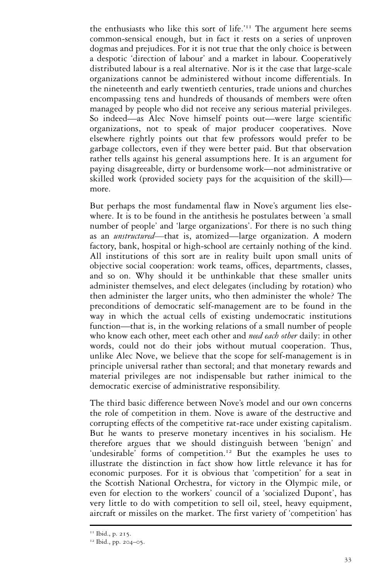the enthusiasts who like this sort of life.'<sup>11</sup> The argument here seems common-sensical enough, but in fact it rests on a series of unproven dogmas and prejudices. For it is not true that the only choice is between a despotic 'direction of labour' and a market in labour. Cooperatively distributed labour is a real alternative. Nor is it the case that large-scale organizations cannot be administered without income differentials. In the nineteenth and early twentieth centuries, trade unions and churches encompassing tens and hundreds of thousands of members were often managed by people who did not receive any serious material privileges. So indeed—as Alec Nove himself points out—were large scientific organizations, not to speak of major producer cooperatives. Nove elsewhere rightly points out that few professors would prefer to be garbage collectors, even if they were better paid. But that observation rather tells against his general assumptions here. It is an argument for paying disagreeable, dirty or burdensome work—not administrative or skilled work (provided society pays for the acquisition of the skill) more.

But perhaps the most fundamental flaw in Nove's argument lies elsewhere. It is to be found in the antithesis he postulates between 'a small number of people' and 'large organizations'. For there is no such thing as an *unstructured—*that is, atomized—large organization. A modern factory, bank, hospital or high-school are certainly nothing of the kind. All institutions of this sort are in reality built upon small units of objective social cooperation: work teams, offices, departments, classes, and so on. Why should it be unthinkable that these smaller units administer themselves, and elect delegates (including by rotation) who then administer the larger units, who then administer the whole? The preconditions of democratic self-management are to be found in the way in which the actual cells of existing undemocratic institutions function—that is, in the working relations of a small number of people who know each other, meet each other and *need each other* daily: in other words, could not do their jobs without mutual cooperation. Thus, unlike Alec Nove, we believe that the scope for self-management is in principle universal rather than sectoral; and that monetary rewards and material privileges are not indispensable but rather inimical to the democratic exercise of administrative responsibility.

The third basic difference between Nove's model and our own concerns the role of competition in them. Nove is aware of the destructive and corrupting effects of the competitive rat-race under existing capitalism. But he wants to preserve monetary incentives in his socialism. He therefore argues that we should distinguish between 'benign' and 'undesirable' forms of competition.<sup>12</sup> But the examples he uses to illustrate the distinction in fact show how little relevance it has for economic purposes. For it is obvious that 'competition' for a seat in the Scottish National Orchestra, for victory in the Olympic mile, or even for election to the workers' council of a 'socialized Dupont', has very little to do with competition to sell oil, steel, heavy equipment, aircraft or missiles on the market. The first variety of 'competition' has

<sup>&</sup>lt;sup>11</sup> Ibid., p. 215.

<sup>12</sup> Ibid., pp. 204–05.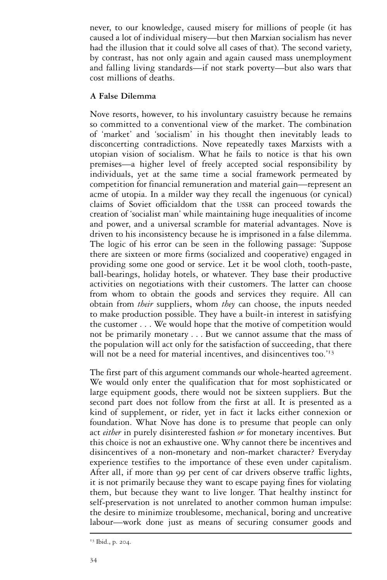never, to our knowledge, caused misery for millions of people (it has caused a lot of individual misery—but then Marxian socialism has never had the illusion that it could solve all cases of that). The second variety, by contrast, has not only again and again caused mass unemployment and falling living standards—if not stark poverty—but also wars that cost millions of deaths.

# **A False Dilemma**

Nove resorts, however, to his involuntary casuistry because he remains so committed to a conventional view of the market. The combination of 'market' and 'socialism' in his thought then inevitably leads to disconcerting contradictions. Nove repeatedly taxes Marxists with a utopian vision of socialism. What he fails to notice is that his own premises—a higher level of freely accepted social responsibility by individuals, yet at the same time a social framework permeated by competition for financial remuneration and material gain—represent an acme of utopia. In a milder way they recall the ingenuous (or cynical) claims of Soviet officialdom that the USSR can proceed towards the creation of 'socialist man' while maintaining huge inequalities of income and power, and a universal scramble for material advantages. Nove is driven to his inconsistency because he is imprisoned in a false dilemma. The logic of his error can be seen in the following passage: 'Suppose there are sixteen or more firms (socialized and cooperative) engaged in providing some one good or service. Let it be wool cloth, tooth-paste, ball-bearings, holiday hotels, or whatever. They base their productive activities on negotiations with their customers. The latter can choose from whom to obtain the goods and services they require. All can obtain from *their* suppliers, whom *they* can choose, the inputs needed to make production possible. They have a built-in interest in satisfying the customer . . . We would hope that the motive of competition would not be primarily monetary... But we cannot assume that the mass of the population will act only for the satisfaction of succeeding, that there will not be a need for material incentives, and disincentives too.<sup>'13</sup>

The first part of this argument commands our whole-hearted agreement. We would only enter the qualification that for most sophisticated or large equipment goods, there would not be sixteen suppliers. But the second part does not follow from the first at all. It is presented as a kind of supplement, or rider, yet in fact it lacks either connexion or foundation. What Nove has done is to presume that people can only act *either* in purely disinterested fashion *or* for monetary incentives. But this choice is not an exhaustive one. Why cannot there be incentives and disincentives of a non-monetary and non-market character? Everyday experience testifies to the importance of these even under capitalism. After all, if more than 99 per cent of car drivers observe traffic lights, it is not primarily because they want to escape paying fines for violating them, but because they want to live longer. That healthy instinct for self-preservation is not unrelated to another common human impulse: the desire to minimize troublesome, mechanical, boring and uncreative labour—work done just as means of securing consumer goods and

<sup>&</sup>lt;sup>13</sup> Ibid., p. 204.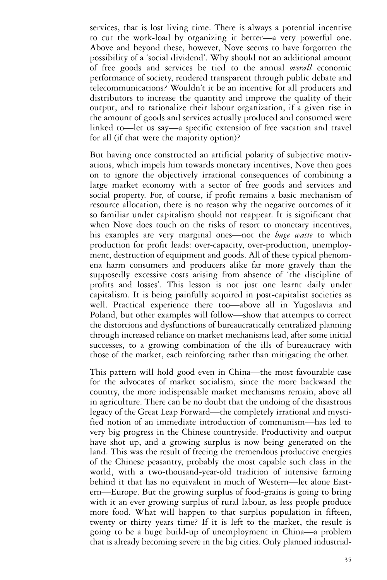services, that is lost living time. There is always a potential incentive to cut the work-load by organizing it better—a very powerful one. Above and beyond these, however, Nove seems to have forgotten the possibility of a 'social dividend'. Why should not an additional amount of free goods and services be tied to the annual *overall* economic performance of society, rendered transparent through public debate and telecommunications? Wouldn't it be an incentive for all producers and distributors to increase the quantity and improve the quality of their output, and to rationalize their labour organization, if a given rise in the amount of goods and services actually produced and consumed were linked to—let us say—a specific extension of free vacation and travel for all (if that were the majority option)?

But having once constructed an artificial polarity of subjective motivations, which impels him towards monetary incentives, Nove then goes on to ignore the objectively irrational consequences of combining a large market economy with a sector of free goods and services and social property. For, of course, if profit remains a basic mechanism of resource allocation, there is no reason why the negative outcomes of it so familiar under capitalism should not reappear. It is significant that when Nove does touch on the risks of resort to monetary incentives, his examples are very marginal ones—not the *huge waste* to which production for profit leads: over-capacity, over-production, unemployment, destruction of equipment and goods. All of these typical phenomena harm consumers and producers alike far more gravely than the supposedly excessive costs arising from absence of 'the discipline of profits and losses'. This lesson is not just one learnt daily under capitalism. It is being painfully acquired in post-capitalist societies as well. Practical experience there too—above all in Yugoslavia and Poland, but other examples will follow—show that attempts to correct the distortions and dysfunctions of bureaucratically centralized planning through increased reliance on market mechanisms lead, after some initial successes, to a growing combination of the ills of bureaucracy with those of the market, each reinforcing rather than mitigating the other.

This pattern will hold good even in China—the most favourable case for the advocates of market socialism, since the more backward the country, the more indispensable market mechanisms remain, above all in agriculture. There can be no doubt that the undoing of the disastrous legacy of the Great Leap Forward—the completely irrational and mystified notion of an immediate introduction of communism—has led to very big progress in the Chinese countryside. Productivity and output have shot up, and a growing surplus is now being generated on the land. This was the result of freeing the tremendous productive energies of the Chinese peasantry, probably the most capable such class in the world, with a two-thousand-year-old tradition of intensive farming behind it that has no equivalent in much of Western—let alone Eastern—Europe. But the growing surplus of food-grains is going to bring with it an ever growing surplus of rural labour, as less people produce more food. What will happen to that surplus population in fifteen, twenty or thirty years time? If it is left to the market, the result is going to be a huge build-up of unemployment in China—a problem that is already becoming severe in the big cities. Only planned industrial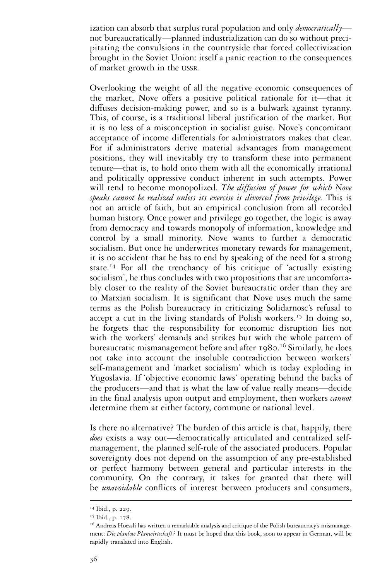ization can absorb that surplus rural population and only *democratically* not bureaucratically—planned industrialization can do so without precipitating the convulsions in the countryside that forced collectivization brought in the Soviet Union: itself a panic reaction to the consequences of market growth in the USSR.

Overlooking the weight of all the negative economic consequences of the market, Nove offers a positive political rationale for it—that it diffuses decision-making power, and so is a bulwark against tyranny. This, of course, is a traditional liberal justification of the market. But it is no less of a misconception in socialist guise. Nove's concomitant acceptance of income differentials for administrators makes that clear. For if administrators derive material advantages from management positions, they will inevitably try to transform these into permanent tenure—that is, to hold onto them with all the economically irrational and politically oppressive conduct inherent in such attempts. Power will tend to become monopolized. *The diffusion of power for which Nove speaks cannot be realized unless its exercise is divorced from privilege*. This is not an article of faith, but an empirical conclusion from all recorded human history. Once power and privilege go together, the logic is away from democracy and towards monopoly of information, knowledge and control by a small minority. Nove wants to further a democratic socialism. But once he underwrites monetary rewards for management, it is no accident that he has to end by speaking of the need for a strong state.<sup>14</sup> For all the trenchancy of his critique of 'actually existing socialism', he thus concludes with two propositions that are uncomfortably closer to the reality of the Soviet bureaucratic order than they are to Marxian socialism. It is significant that Nove uses much the same terms as the Polish bureaucracy in criticizing Solidarnosc's refusal to accept a cut in the living standards of Polish workers.<sup>15</sup> In doing so, he forgets that the responsibility for economic disruption lies not with the workers' demands and strikes but with the whole pattern of bureaucratic mismanagement before and after 1980. <sup>16</sup> Similarly, he does not take into account the insoluble contradiction between workers' self-management and 'market socialism' which is today exploding in Yugoslavia. If 'objective economic laws' operating behind the backs of the producers—and that is what the law of value really means—decide in the final analysis upon output and employment, then workers *cannot*  determine them at either factory, commune or national level.

Is there no alternative? The burden of this article is that, happily, there *does* exists a way out—democratically articulated and centralized selfmanagement, the planned self-rule of the associated producers. Popular sovereignty does not depend on the assumption of any pre-established or perfect harmony between general and particular interests in the community. On the contrary, it takes for granted that there will be *unavoidable* conflicts of interest between producers and consumers,

<sup>&</sup>lt;sup>14</sup> Ibid., p. 229.

<sup>&</sup>lt;sup>15</sup> Ibid., p. 178.

<sup>&</sup>lt;sup>16</sup> Andreas Hoessli has written a remarkable analysis and critique of the Polish bureaucracy's mismanagement: *Die planlose Planwirtschaft?* It must be hoped that this book, soon to appear in German, will be rapidly translated into English.